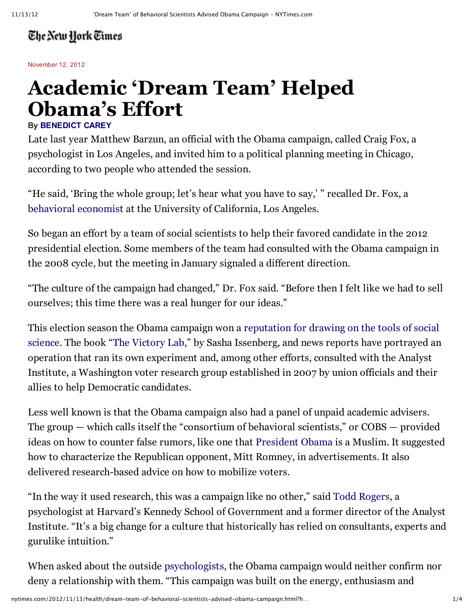## The New York Times

November 12, 2012

## **Academic 'Dream Team' Helped Obama's Effort**

## **By BENEDICT CAREY**

Late last year Matthew Barzun, an official with the Obama campaign, called Craig Fox, a psychologist in Los Angeles, and invited him to a political planning meeting in Chicago, according to two people who attended the session.

"He said, 'Bring the whole group; let's hear what you have to say,' " recalled Dr. Fox, a behavioral economist at the University of California, Los Angeles.

So began an effort by a team of social scientists to help their favored candidate in the 2012 presidential election. Some members of the team had consulted with the Obama campaign in the 2008 cycle, but the meeting in January signaled a different direction.

"The culture of the campaign had changed," Dr. Fox said. "Before then I felt like we had to sell ourselves; this time there was a real hunger for our ideas."

This election season the Obama campaign won a reputation for drawing on the tools of social science. The book "The Victory Lab," by Sasha Issenberg, and news reports have portrayed an operation that ran its own experiment and, among other efforts, consulted with the Analyst Institute, a Washington voter research group established in 2007 by union officials and their allies to help Democratic candidates.

Less well known is that the Obama campaign also had a panel of unpaid academic advisers. The group — which calls itself the "consortium of behavioral scientists," or COBS — provided ideas on how to counter false rumors, like one that President Obama is a Muslim. It suggested how to characterize the Republican opponent, Mitt Romney, in advertisements. It also delivered research-based advice on how to mobilize voters.

"In the way it used research, this was a campaign like no other," said Todd Rogers, a psychologist at Harvard's Kennedy School of Government and a former director of the Analyst Institute. "It's a big change for a culture that historically has relied on consultants, experts and gurulike intuition."

When asked about the outside psychologists, the Obama campaign would neither confirm nor deny a relationship with them. "This campaign was built on the energy, enthusiasm and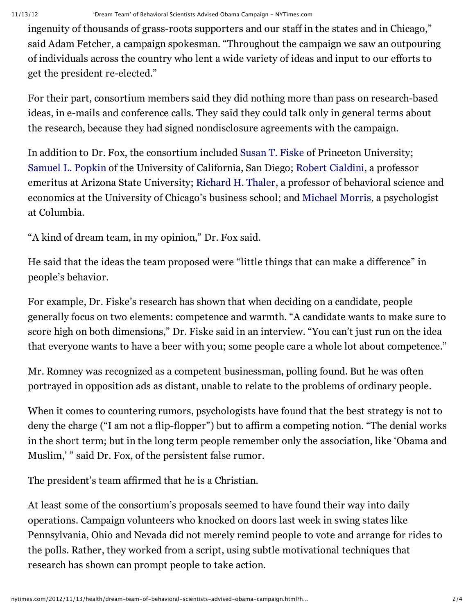ingenuity of thousands of grass-roots supporters and our staff in the states and in Chicago," said Adam Fetcher, a campaign spokesman. "Throughout the campaign we saw an outpouring of individuals across the country who lent a wide variety of ideas and input to our efforts to get the president re-elected."

For their part, consortium members said they did nothing more than pass on research-based ideas, in e-mails and conference calls. They said they could talk only in general terms about the research, because they had signed nondisclosure agreements with the campaign.

In addition to Dr. Fox, the consortium included Susan T. Fiske of Princeton University; Samuel L. Popkin of the University of California, San Diego; Robert Cialdini, a professor emeritus at Arizona State University; Richard H. Thaler, a professor of behavioral science and economics at the University of Chicago's business school; and Michael Morris, a psychologist at Columbia.

"A kind of dream team, in my opinion," Dr. Fox said.

He said that the ideas the team proposed were "little things that can make a difference" in people's behavior.

For example, Dr. Fiske's research has shown that when deciding on a candidate, people generally focus on two elements: competence and warmth. "A candidate wants to make sure to score high on both dimensions," Dr. Fiske said in an interview. "You can't just run on the idea that everyone wants to have a beer with you; some people care a whole lot about competence."

Mr. Romney was recognized as a competent businessman, polling found. But he was often portrayed in opposition ads as distant, unable to relate to the problems of ordinary people.

When it comes to countering rumors, psychologists have found that the best strategy is not to deny the charge ("I am not a flip-flopper") but to affirm a competing notion. "The denial works in the short term; but in the long term people remember only the association, like 'Obama and Muslim,'" said Dr. Fox, of the persistent false rumor.

The president's team affirmed that he is a Christian.

At least some of the consortium's proposals seemed to have found their way into daily operations. Campaign volunteers who knocked on doors last week in swing states like Pennsylvania, Ohio and Nevada did not merely remind people to vote and arrange for rides to the polls. Rather, they worked from a script, using subtle motivational techniques that research has shown can prompt people to take action.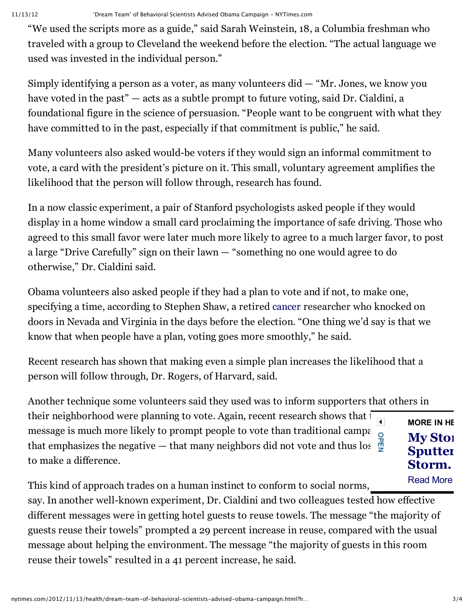"We used the scripts more as a guide," said Sarah Weinstein, 18, a Columbia freshman who traveled with a group to Cleveland the weekend before the election. "The actual language we used was invested in the individual person."

Simply identifying a person as a voter, as many volunteers did — "Mr. Jones, we know you have voted in the past" — acts as a subtle prompt to future voting, said Dr. Cialdini, a foundational figure in the science of persuasion. "People want to be congruent with what they have committed to in the past, especially if that commitment is public," he said.

Many volunteers also asked would-be voters if they would sign an informal commitment to vote, a card with the president's picture on it. This small, voluntary agreement amplifies the likelihood that the person will follow through, research has found.

In a now classic experiment, a pair of Stanford psychologists asked people if they would display in a home window a small card proclaiming the importance of safe driving. Those who agreed to this small favor were later much more likely to agree to a much larger favor, to post a large "Drive Carefully" sign on their lawn — "something no one would agree to do otherwise," Dr. Cialdini said.

Obama volunteers also asked people if they had a plan to vote and if not, to make one, specifying a time, according to Stephen Shaw, a retired cancer researcher who knocked on doors in Nevada and Virginia in the days before the election. "One thing we'd say is that we know that when people have a plan, voting goes more smoothly," he said.

Recent research has shown that making even a simple plan increases the likelihood that a person will follow through, Dr. Rogers, of Harvard, said.

Another technique some volunteers said they used was to inform supporters that others in their neighborhood were planning to vote. Again, recent research shows that  $\frac{1}{\sqrt{2}}$ message is much more likely to prompt people to vote than traditional campaign literature. message is much more likely to prompt people to vote than traditional campaired that emphasizes the negative — that many neighbors did not vote and thus los to make a difference.



This kind of approach trades on a human instinct to conform to social norms,

say. In another well-known experiment, Dr. Cialdini and two colleagues tested how effective different messages were in getting hotel guests to reuse towels. The message "the majority of guests reuse their towels" prompted a 29 percent increase in reuse, compared with the usual message about helping the environment. The message "the majority of guests in this room reuse their towels" resulted in a 41 percent increase, he said.